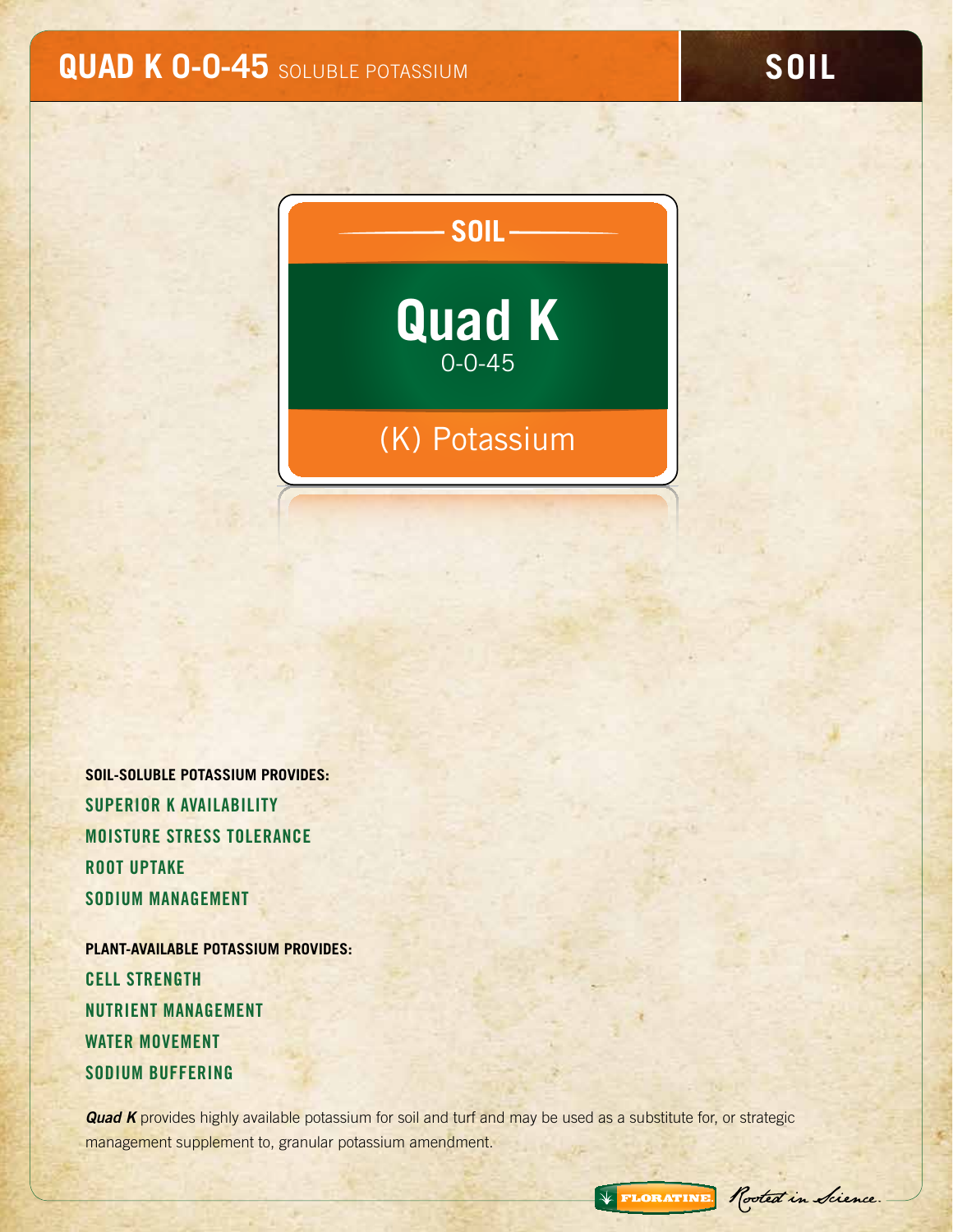# **QUAD K 0-0-45** SOLUBLE POTASSIUM

**SOIL**

 $-SOIL -$ 

**Quad K**

 $0 - 0 - 45$ 

(K) Potassium

**Soil-Soluble Potassium PROVIDES:** SUPERIOR K AVAILABILITY Moisture Stress Tolerance Root Uptake Sodium Management

**PLANT-AVAILABLE POTASSIUM PROVIDES:** Cell Strength Nutrient Management WATER MOVEMENT Sodium Buffering

**Quad K** provides highly available potassium for soil and turf and may be used as a substitute for, or strategic management supplement to, granular potassium amendment.